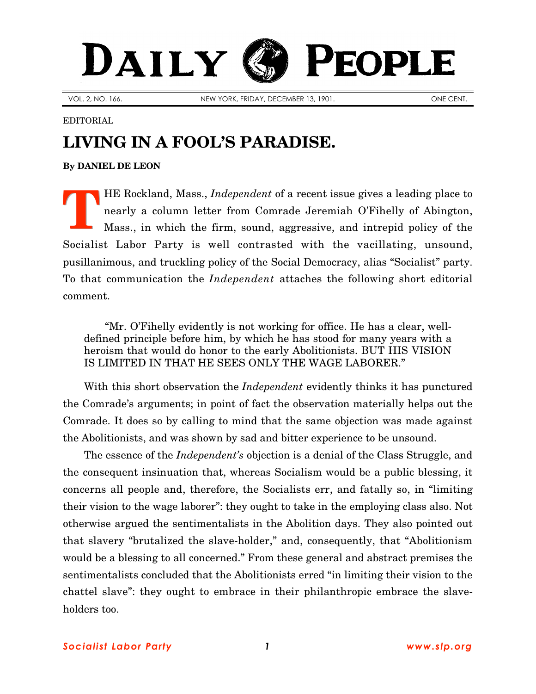## DAILY PEOPLE

VOL. 2, NO. 166. NEW YORK, FRIDAY, DECEMBER 13, 1901. NEW YORK, FRIDAY, DECEMBER 13, 1901.

## EDITORIAL

## **LIVING IN A FOOL'S PARADISE.**

**By [DANIEL DE LEON](http://slp.org/De_Leon.htm)**

HE Rockland, Mass., *Independent* of a recent issue gives a leading place to nearly a column letter from Comrade Jeremiah O'Fihelly of Abington, Mass., in which the firm, sound, aggressive, and intrepid policy of the Socialist Labor Party is well contrasted with the vacillating, unsound, pusillanimous, and truckling policy of the Social Democracy, alias "Socialist" party. To that communication the *Independent* attaches the following short editorial comment. **T**

"Mr. O'Fihelly evidently is not working for office. He has a clear, welldefined principle before him, by which he has stood for many years with a heroism that would do honor to the early Abolitionists. BUT HIS VISION IS LIMITED IN THAT HE SEES ONLY THE WAGE LABORER."

With this short observation the *Independent* evidently thinks it has punctured the Comrade's arguments; in point of fact the observation materially helps out the Comrade. It does so by calling to mind that the same objection was made against the Abolitionists, and was shown by sad and bitter experience to be unsound.

The essence of the *Independent's* objection is a denial of the Class Struggle, and the consequent insinuation that, whereas Socialism would be a public blessing, it concerns all people and, therefore, the Socialists err, and fatally so, in "limiting their vision to the wage laborer": they ought to take in the employing class also. Not otherwise argued the sentimentalists in the Abolition days. They also pointed out that slavery "brutalized the slave-holder," and, consequently, that "Abolitionism would be a blessing to all concerned." From these general and abstract premises the sentimentalists concluded that the Abolitionists erred "in limiting their vision to the chattel slave": they ought to embrace in their philanthropic embrace the slaveholders too.